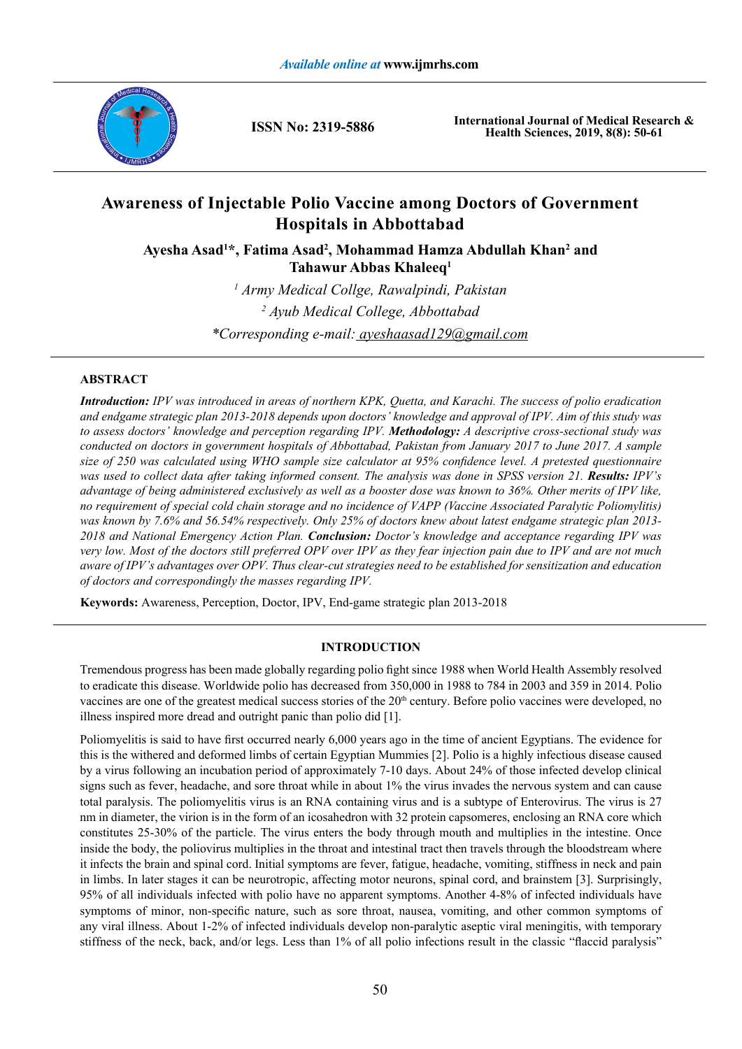

**ISSN No: 2319-5886**

**International Journal of Medical Research & Health Sciences, 2019, 8(8): 50-61**

# **Awareness of Injectable Polio Vaccine among Doctors of Government Hospitals in Abbottabad**

Ayesha Asad<sup>1\*</sup>, Fatima Asad<sup>2</sup>, Mohammad Hamza Abdullah Khan<sup>2</sup> and **Tahawur Abbas Khaleeq1**

> *1 Army Medical Collge, Rawalpindi, Pakistan 2 Ayub Medical College, Abbottabad \*Corresponding e-mail: ayeshaasad129@gmail.com*

## **ABSTRACT**

*Introduction: IPV was introduced in areas of northern KPK, Quetta, and Karachi. The success of polio eradication and endgame strategic plan 2013-2018 depends upon doctors' knowledge and approval of IPV. Aim of this study was to assess doctors' knowledge and perception regarding IPV. Methodology: A descriptive cross-sectional study was conducted on doctors in government hospitals of Abbottabad, Pakistan from January 2017 to June 2017. A sample size of 250 was calculated using WHO sample size calculator at 95% confidence level. A pretested questionnaire was used to collect data after taking informed consent. The analysis was done in SPSS version 21. Results: IPV's advantage of being administered exclusively as well as a booster dose was known to 36%. Other merits of IPV like, no requirement of special cold chain storage and no incidence of VAPP (Vaccine Associated Paralytic Poliomylitis) was known by 7.6% and 56.54% respectively. Only 25% of doctors knew about latest endgame strategic plan 2013- 2018 and National Emergency Action Plan. Conclusion: Doctor's knowledge and acceptance regarding IPV was very low. Most of the doctors still preferred OPV over IPV as they fear injection pain due to IPV and are not much aware of IPV's advantages over OPV. Thus clear-cut strategies need to be established for sensitization and education of doctors and correspondingly the masses regarding IPV.*

**Keywords:** Awareness, Perception, Doctor, IPV, End-game strategic plan 2013-2018

## **INTRODUCTION**

Tremendous progress has been made globally regarding polio fight since 1988 when World Health Assembly resolved to eradicate this disease. Worldwide polio has decreased from 350,000 in 1988 to 784 in 2003 and 359 in 2014. Polio vaccines are one of the greatest medical success stories of the 20<sup>th</sup> century. Before polio vaccines were developed, no illness inspired more dread and outright panic than polio did [1].

Poliomyelitis is said to have first occurred nearly 6,000 years ago in the time of ancient Egyptians. The evidence for this is the withered and deformed limbs of certain Egyptian Mummies [2]. Polio is a highly infectious disease caused by a virus following an incubation period of approximately 7-10 days. About 24% of those infected develop clinical signs such as fever, headache, and sore throat while in about 1% the virus invades the nervous system and can cause total paralysis. The poliomyelitis virus is an RNA containing virus and is a subtype of Enterovirus. The virus is 27 nm in diameter, the virion is in the form of an icosahedron with 32 protein capsomeres, enclosing an RNA core which constitutes 25-30% of the particle. The virus enters the body through mouth and multiplies in the intestine. Once inside the body, the poliovirus multiplies in the throat and intestinal tract then travels through the bloodstream where it infects the brain and spinal cord. Initial symptoms are fever, fatigue, headache, vomiting, stiffness in neck and pain in limbs. In later stages it can be neurotropic, affecting motor neurons, spinal cord, and brainstem [3]. Surprisingly, 95% of all individuals infected with polio have no apparent symptoms. Another 4-8% of infected individuals have symptoms of minor, non-specific nature, such as sore throat, nausea, vomiting, and other common symptoms of any viral illness. About 1-2% of infected individuals develop non-paralytic aseptic viral meningitis, with temporary stiffness of the neck, back, and/or legs. Less than 1% of all polio infections result in the classic "flaccid paralysis"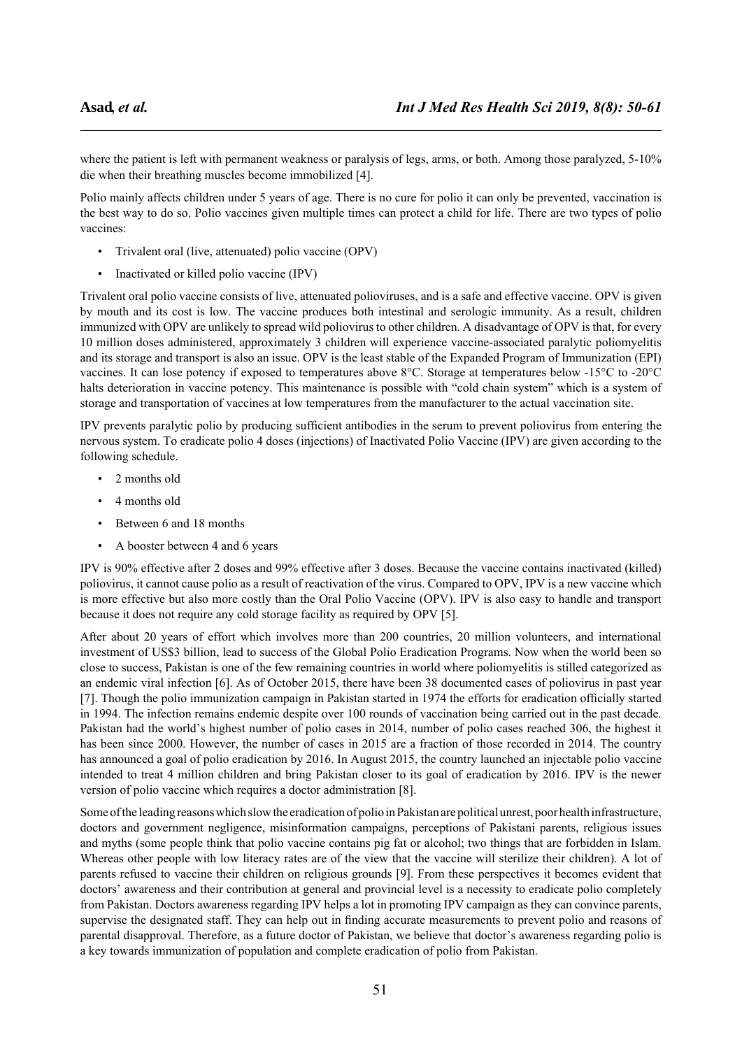where the patient is left with permanent weakness or paralysis of legs, arms, or both. Among those paralyzed, 5-10% die when their breathing muscles become immobilized [4].

Polio mainly affects children under 5 years of age. There is no cure for polio it can only be prevented, vaccination is the best way to do so. Polio vaccines given multiple times can protect a child for life. There are two types of polio vaccines:

- Trivalent oral (live, attenuated) polio vaccine (OPV)
- Inactivated or killed polio vaccine (IPV)

Trivalent oral polio vaccine consists of live, attenuated polioviruses, and is a safe and effective vaccine. OPV is given by mouth and its cost is low. The vaccine produces both intestinal and serologic immunity. As a result, children immunized with OPV are unlikely to spread wild poliovirus to other children. A disadvantage of OPV is that, for every 10 million doses administered, approximately 3 children will experience vaccine-associated paralytic poliomyelitis and its storage and transport is also an issue. OPV is the least stable of the Expanded Program of Immunization (EPI) vaccines. It can lose potency if exposed to temperatures above 8°C. Storage at temperatures below -15°C to -20°C halts deterioration in vaccine potency. This maintenance is possible with "cold chain system" which is a system of storage and transportation of vaccines at low temperatures from the manufacturer to the actual vaccination site.

IPV prevents paralytic polio by producing sufficient antibodies in the serum to prevent poliovirus from entering the nervous system. To eradicate polio 4 doses (injections) of Inactivated Polio Vaccine (IPV) are given according to the following schedule.

- 2 months old
- 4 months old
- Between 6 and 18 months
- A booster between 4 and 6 years

IPV is 90% effective after 2 doses and 99% effective after 3 doses. Because the vaccine contains inactivated (killed) poliovirus, it cannot cause polio as a result of reactivation of the virus. Compared to OPV, IPV is a new vaccine which is more effective but also more costly than the Oral Polio Vaccine (OPV). IPV is also easy to handle and transport because it does not require any cold storage facility as required by OPV [5].

After about 20 years of effort which involves more than 200 countries, 20 million volunteers, and international investment of US\$3 billion, lead to success of the Global Polio Eradication Programs. Now when the world been so close to success, Pakistan is one of the few remaining countries in world where poliomyelitis is stilled categorized as an endemic viral infection [6]. As of October 2015, there have been 38 documented cases of poliovirus in past year [7]. Though the polio immunization campaign in Pakistan started in 1974 the efforts for eradication officially started in 1994. The infection remains endemic despite over 100 rounds of vaccination being carried out in the past decade. Pakistan had the world's highest number of polio cases in 2014, number of polio cases reached 306, the highest it has been since 2000. However, the number of cases in 2015 are a fraction of those recorded in 2014. The country has announced a goal of polio eradication by 2016. In August 2015, the country launched an injectable polio vaccine intended to treat 4 million children and bring Pakistan closer to its goal of eradication by 2016. IPV is the newer version of polio vaccine which requires a doctor administration [8].

Some of the leading reasons which slow the eradication of polio in Pakistan are political unrest, poor health infrastructure, doctors and government negligence, misinformation campaigns, perceptions of Pakistani parents, religious issues and myths (some people think that polio vaccine contains pig fat or alcohol; two things that are forbidden in Islam. Whereas other people with low literacy rates are of the view that the vaccine will sterilize their children). A lot of parents refused to vaccine their children on religious grounds [9]. From these perspectives it becomes evident that doctors' awareness and their contribution at general and provincial level is a necessity to eradicate polio completely from Pakistan. Doctors awareness regarding IPV helps a lot in promoting IPV campaign as they can convince parents, supervise the designated staff. They can help out in finding accurate measurements to prevent polio and reasons of parental disapproval. Therefore, as a future doctor of Pakistan, we believe that doctor's awareness regarding polio is a key towards immunization of population and complete eradication of polio from Pakistan.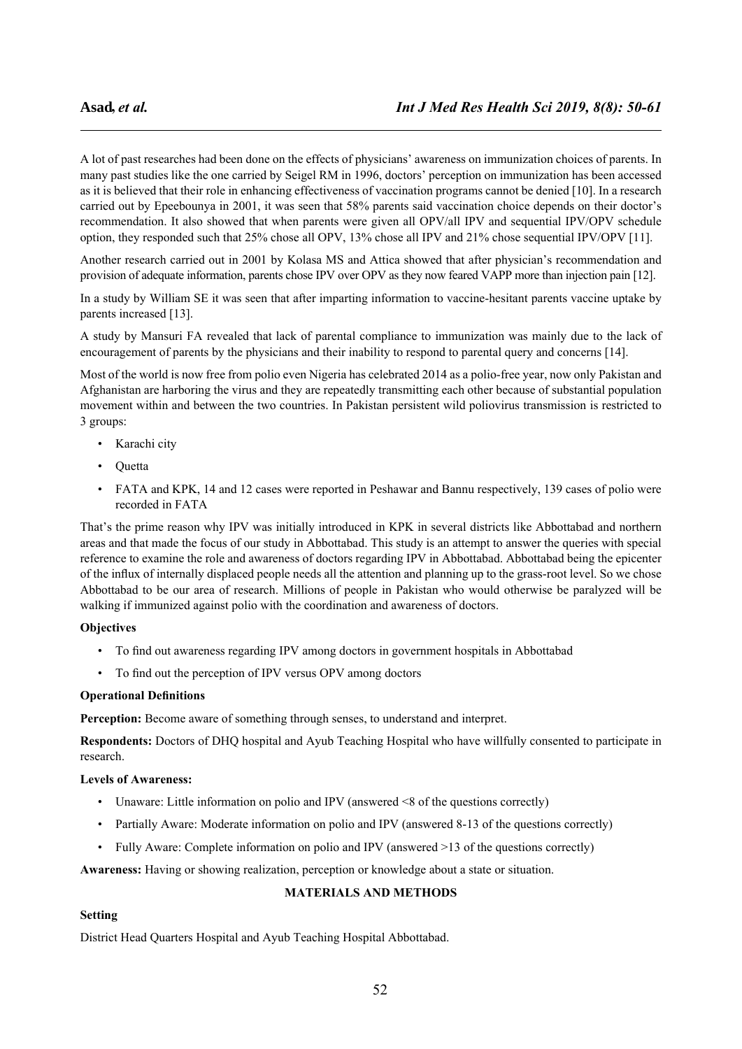A lot of past researches had been done on the effects of physicians' awareness on immunization choices of parents. In many past studies like the one carried by Seigel RM in 1996, doctors' perception on immunization has been accessed as it is believed that their role in enhancing effectiveness of vaccination programs cannot be denied [10]. In a research carried out by Epeebounya in 2001, it was seen that 58% parents said vaccination choice depends on their doctor's recommendation. It also showed that when parents were given all OPV/all IPV and sequential IPV/OPV schedule option, they responded such that 25% chose all OPV, 13% chose all IPV and 21% chose sequential IPV/OPV [11].

Another research carried out in 2001 by Kolasa MS and Attica showed that after physician's recommendation and provision of adequate information, parents chose IPV over OPV as they now feared VAPP more than injection pain [12].

In a study by William SE it was seen that after imparting information to vaccine-hesitant parents vaccine uptake by parents increased [13].

A study by Mansuri FA revealed that lack of parental compliance to immunization was mainly due to the lack of encouragement of parents by the physicians and their inability to respond to parental query and concerns [14].

Most of the world is now free from polio even Nigeria has celebrated 2014 as a polio-free year, now only Pakistan and Afghanistan are harboring the virus and they are repeatedly transmitting each other because of substantial population movement within and between the two countries. In Pakistan persistent wild poliovirus transmission is restricted to 3 groups:

- Karachi city
- Quetta
- FATA and KPK, 14 and 12 cases were reported in Peshawar and Bannu respectively, 139 cases of polio were recorded in FATA

That's the prime reason why IPV was initially introduced in KPK in several districts like Abbottabad and northern areas and that made the focus of our study in Abbottabad. This study is an attempt to answer the queries with special reference to examine the role and awareness of doctors regarding IPV in Abbottabad. Abbottabad being the epicenter of the influx of internally displaced people needs all the attention and planning up to the grass-root level. So we chose Abbottabad to be our area of research. Millions of people in Pakistan who would otherwise be paralyzed will be walking if immunized against polio with the coordination and awareness of doctors.

## **Objectives**

- To find out awareness regarding IPV among doctors in government hospitals in Abbottabad
- To find out the perception of IPV versus OPV among doctors

## **Operational Definitions**

**Perception:** Become aware of something through senses, to understand and interpret.

**Respondents:** Doctors of DHQ hospital and Ayub Teaching Hospital who have willfully consented to participate in research.

## **Levels of Awareness:**

- Unaware: Little information on polio and IPV (answered <8 of the questions correctly)
- Partially Aware: Moderate information on polio and IPV (answered 8-13 of the questions correctly)
- Fully Aware: Complete information on polio and IPV (answered >13 of the questions correctly)

**Awareness:** Having or showing realization, perception or knowledge about a state or situation.

## **MATERIALS AND METHODS**

## **Setting**

District Head Quarters Hospital and Ayub Teaching Hospital Abbottabad.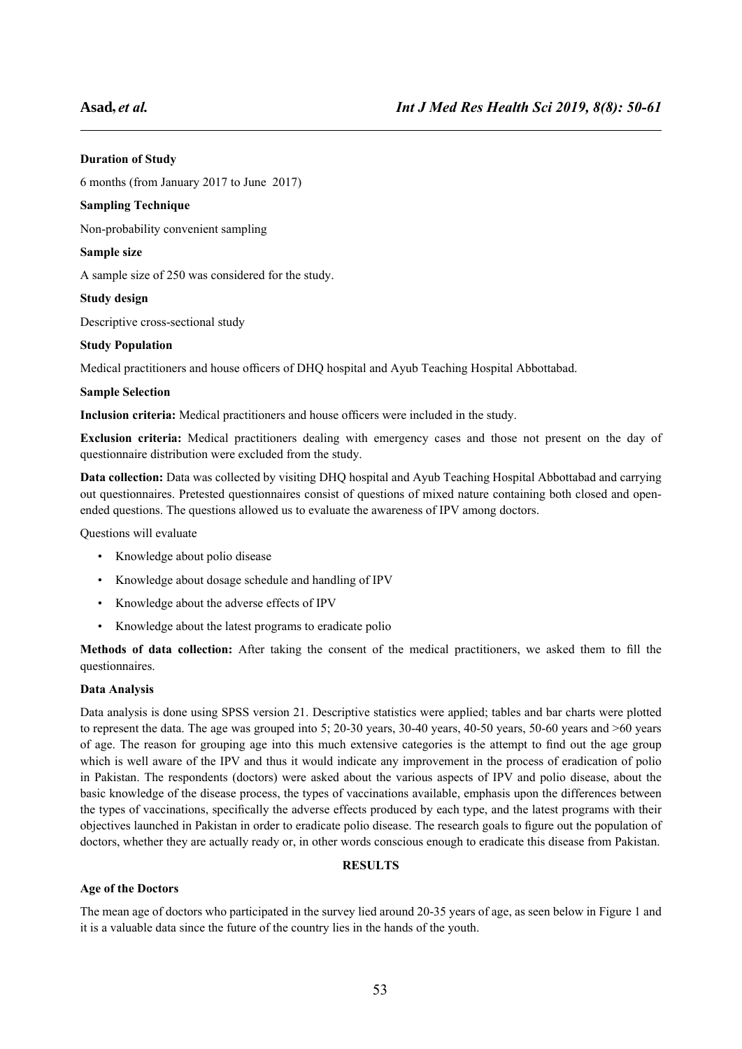## **Duration of Study**

6 months (from January 2017 to June 2017)

## **Sampling Technique**

Non-probability convenient sampling

## **Sample size**

A sample size of 250 was considered for the study.

## **Study design**

Descriptive cross-sectional study

## **Study Population**

Medical practitioners and house officers of DHQ hospital and Ayub Teaching Hospital Abbottabad.

## **Sample Selection**

**Inclusion criteria:** Medical practitioners and house officers were included in the study.

**Exclusion criteria:** Medical practitioners dealing with emergency cases and those not present on the day of questionnaire distribution were excluded from the study.

**Data collection:** Data was collected by visiting DHQ hospital and Ayub Teaching Hospital Abbottabad and carrying out questionnaires. Pretested questionnaires consist of questions of mixed nature containing both closed and openended questions. The questions allowed us to evaluate the awareness of IPV among doctors.

Questions will evaluate

- Knowledge about polio disease
- Knowledge about dosage schedule and handling of IPV
- Knowledge about the adverse effects of IPV
- Knowledge about the latest programs to eradicate polio

**Methods of data collection:** After taking the consent of the medical practitioners, we asked them to fill the questionnaires.

## **Data Analysis**

Data analysis is done using SPSS version 21. Descriptive statistics were applied; tables and bar charts were plotted to represent the data. The age was grouped into 5; 20-30 years, 30-40 years, 40-50 years, 50-60 years and >60 years of age. The reason for grouping age into this much extensive categories is the attempt to find out the age group which is well aware of the IPV and thus it would indicate any improvement in the process of eradication of polio in Pakistan. The respondents (doctors) were asked about the various aspects of IPV and polio disease, about the basic knowledge of the disease process, the types of vaccinations available, emphasis upon the differences between the types of vaccinations, specifically the adverse effects produced by each type, and the latest programs with their objectives launched in Pakistan in order to eradicate polio disease. The research goals to figure out the population of doctors, whether they are actually ready or, in other words conscious enough to eradicate this disease from Pakistan.

## **RESULTS**

## **Age of the Doctors**

The mean age of doctors who participated in the survey lied around 20-35 years of age, as seen below in Figure 1 and it is a valuable data since the future of the country lies in the hands of the youth.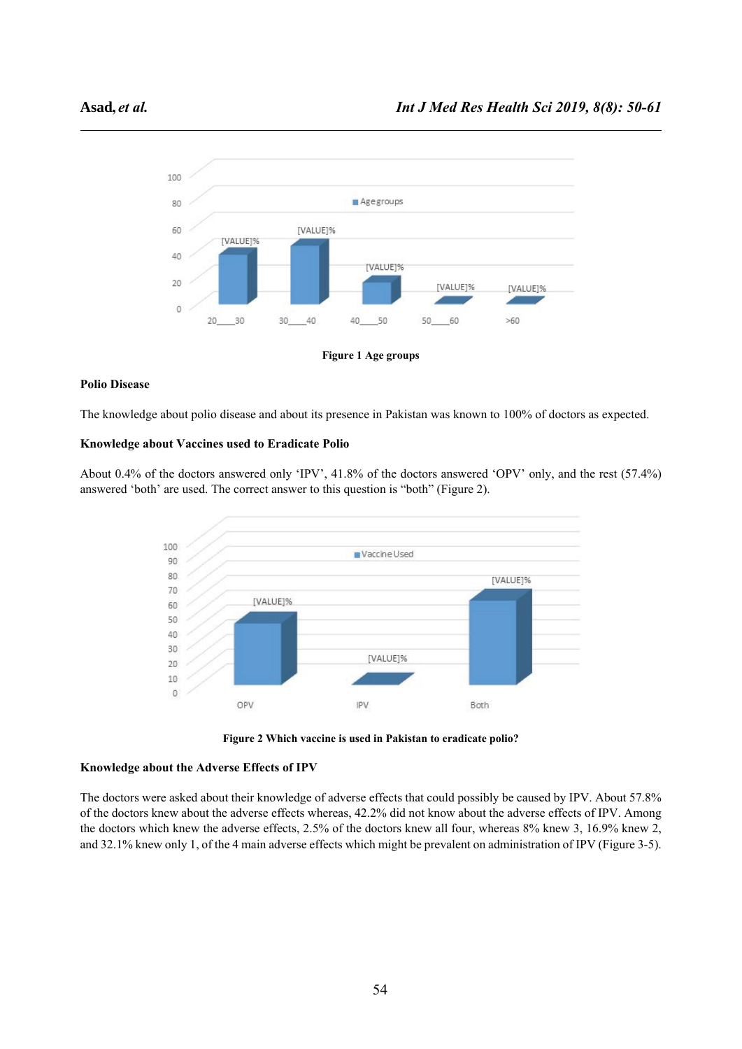

**Figure 1 Age groups**

## **Polio Disease**

The knowledge about polio disease and about its presence in Pakistan was known to 100% of doctors as expected.

## **Knowledge about Vaccines used to Eradicate Polio**

About 0.4% of the doctors answered only 'IPV', 41.8% of the doctors answered 'OPV' only, and the rest (57.4%) answered 'both' are used. The correct answer to this question is "both" (Figure 2).





## **Knowledge about the Adverse Effects of IPV**

The doctors were asked about their knowledge of adverse effects that could possibly be caused by IPV. About 57.8% of the doctors knew about the adverse effects whereas, 42.2% did not know about the adverse effects of IPV. Among the doctors which knew the adverse effects, 2.5% of the doctors knew all four, whereas 8% knew 3, 16.9% knew 2, and 32.1% knew only 1, of the 4 main adverse effects which might be prevalent on administration of IPV (Figure 3-5).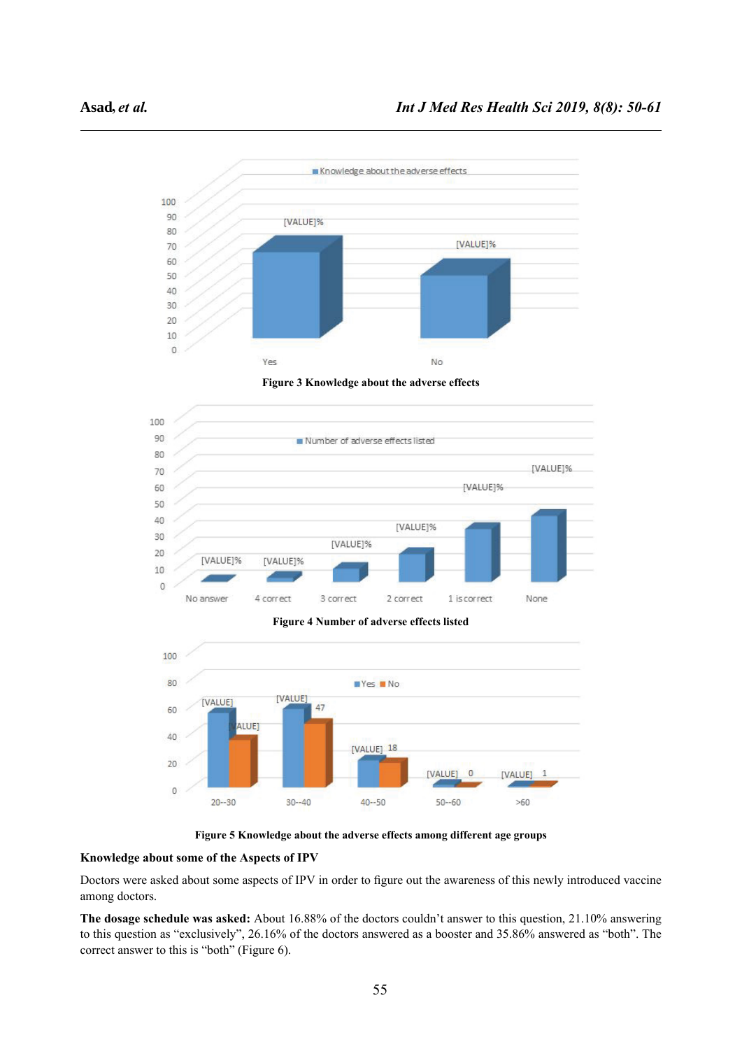

**Figure 3 Knowledge about the adverse effects**



**Figure 4 Number of adverse effects listed**



**Figure 5 Knowledge about the adverse effects among different age groups** 

#### **Knowledge about some of the Aspects of IPV**

Doctors were asked about some aspects of IPV in order to figure out the awareness of this newly introduced vaccine among doctors.

**The dosage schedule was asked:** About 16.88% of the doctors couldn't answer to this question, 21.10% answering to this question as "exclusively", 26.16% of the doctors answered as a booster and 35.86% answered as "both". The correct answer to this is "both" (Figure 6).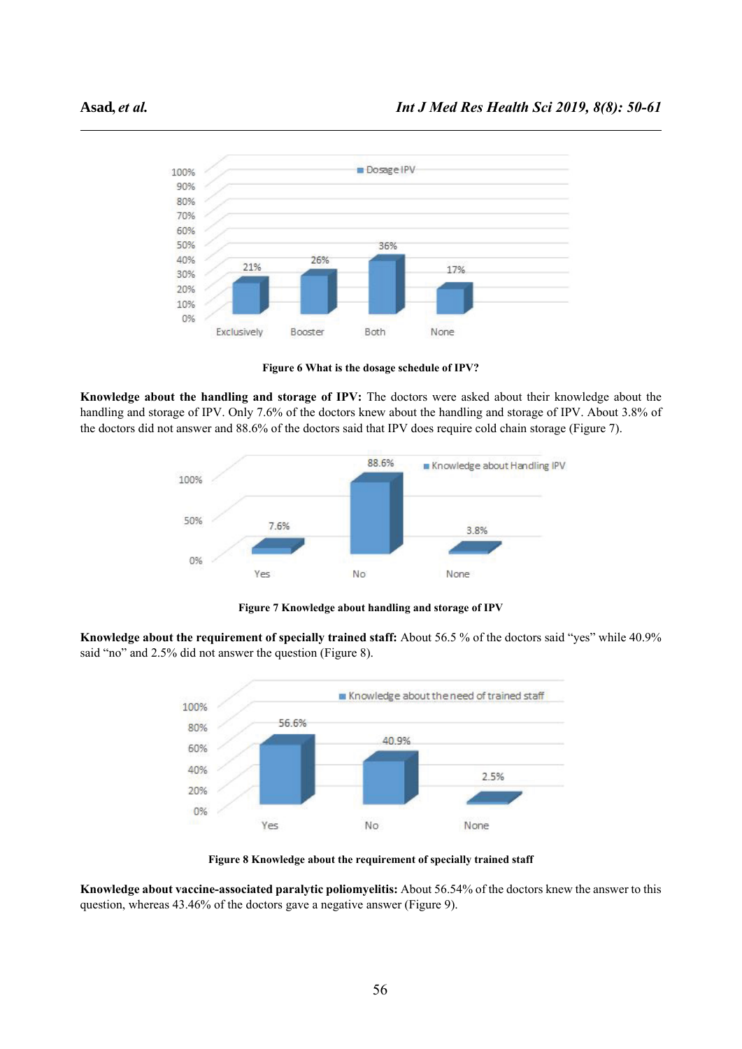

**Figure 6 What is the dosage schedule of IPV?**

**Knowledge about the handling and storage of IPV:** The doctors were asked about their knowledge about the handling and storage of IPV. Only 7.6% of the doctors knew about the handling and storage of IPV. About 3.8% of the doctors did not answer and 88.6% of the doctors said that IPV does require cold chain storage (Figure 7).



**Figure 7 Knowledge about handling and storage of IPV**

**Knowledge about the requirement of specially trained staff:** About 56.5 % of the doctors said "yes" while 40.9% said "no" and 2.5% did not answer the question (Figure 8).



**Figure 8 Knowledge about the requirement of specially trained staff**

**Knowledge about vaccine-associated paralytic poliomyelitis:** About 56.54% of the doctors knew the answer to this question, whereas 43.46% of the doctors gave a negative answer (Figure 9).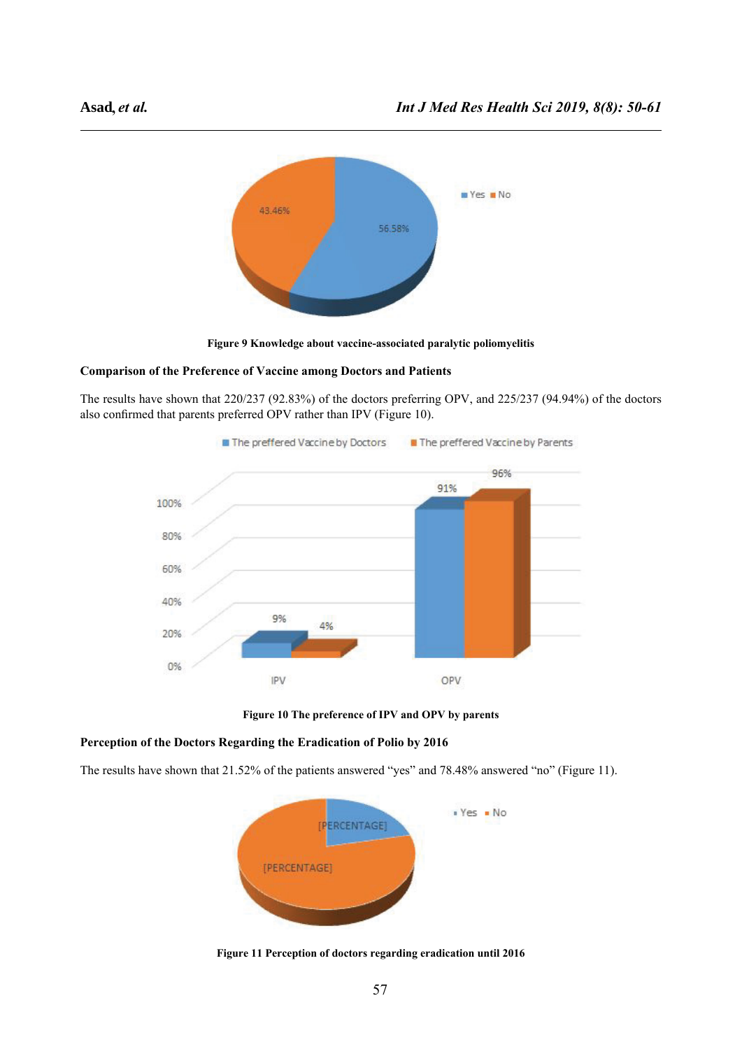

**Figure 9 Knowledge about vaccine-associated paralytic poliomyelitis**

## **Comparison of the Preference of Vaccine among Doctors and Patients**

The results have shown that 220/237 (92.83%) of the doctors preferring OPV, and 225/237 (94.94%) of the doctors also confirmed that parents preferred OPV rather than IPV (Figure 10).



**Figure 10 The preference of IPV and OPV by parents**

## **Perception of the Doctors Regarding the Eradication of Polio by 2016**

The results have shown that 21.52% of the patients answered "yes" and 78.48% answered "no" (Figure 11).



**Figure 11 Perception of doctors regarding eradication until 2016**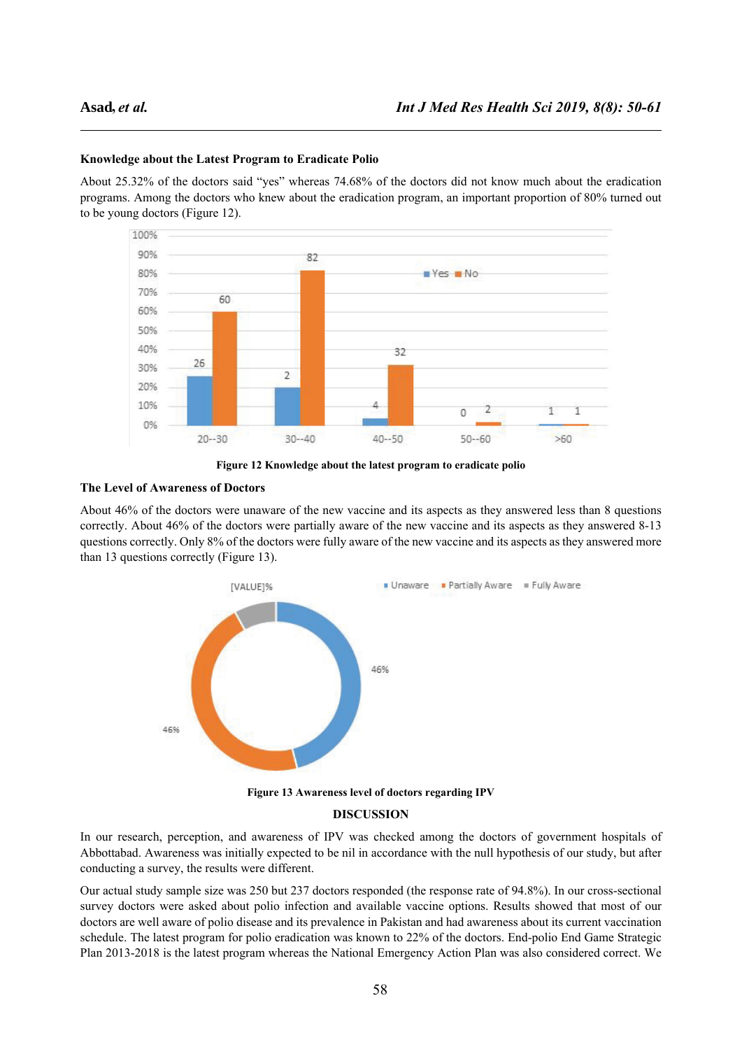#### **Knowledge about the Latest Program to Eradicate Polio**

About 25.32% of the doctors said "yes" whereas 74.68% of the doctors did not know much about the eradication programs. Among the doctors who knew about the eradication program, an important proportion of 80% turned out to be young doctors (Figure 12).



**Figure 12 Knowledge about the latest program to eradicate polio**

#### **The Level of Awareness of Doctors**

About 46% of the doctors were unaware of the new vaccine and its aspects as they answered less than 8 questions correctly. About 46% of the doctors were partially aware of the new vaccine and its aspects as they answered 8-13 questions correctly. Only 8% of the doctors were fully aware of the new vaccine and its aspects as they answered more than 13 questions correctly (Figure 13).



**Figure 13 Awareness level of doctors regarding IPV**

## **DISCUSSION**

In our research, perception, and awareness of IPV was checked among the doctors of government hospitals of Abbottabad. Awareness was initially expected to be nil in accordance with the null hypothesis of our study, but after conducting a survey, the results were different.

Our actual study sample size was 250 but 237 doctors responded (the response rate of 94.8%). In our cross-sectional survey doctors were asked about polio infection and available vaccine options. Results showed that most of our doctors are well aware of polio disease and its prevalence in Pakistan and had awareness about its current vaccination schedule. The latest program for polio eradication was known to 22% of the doctors. End-polio End Game Strategic Plan 2013-2018 is the latest program whereas the National Emergency Action Plan was also considered correct. We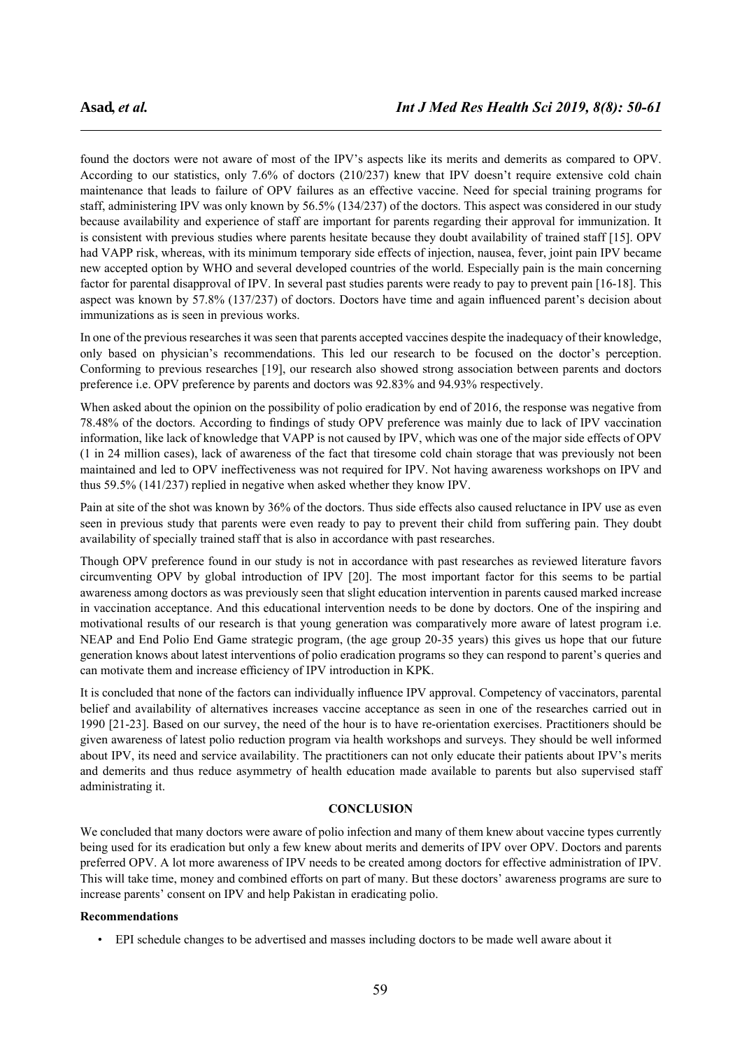found the doctors were not aware of most of the IPV's aspects like its merits and demerits as compared to OPV. According to our statistics, only 7.6% of doctors (210/237) knew that IPV doesn't require extensive cold chain maintenance that leads to failure of OPV failures as an effective vaccine. Need for special training programs for staff, administering IPV was only known by 56.5% (134/237) of the doctors. This aspect was considered in our study because availability and experience of staff are important for parents regarding their approval for immunization. It is consistent with previous studies where parents hesitate because they doubt availability of trained staff [15]. OPV had VAPP risk, whereas, with its minimum temporary side effects of injection, nausea, fever, joint pain IPV became new accepted option by WHO and several developed countries of the world. Especially pain is the main concerning factor for parental disapproval of IPV. In several past studies parents were ready to pay to prevent pain [16-18]. This aspect was known by 57.8% (137/237) of doctors. Doctors have time and again influenced parent's decision about immunizations as is seen in previous works.

In one of the previous researches it was seen that parents accepted vaccines despite the inadequacy of their knowledge, only based on physician's recommendations. This led our research to be focused on the doctor's perception. Conforming to previous researches [19], our research also showed strong association between parents and doctors preference i.e. OPV preference by parents and doctors was 92.83% and 94.93% respectively.

When asked about the opinion on the possibility of polio eradication by end of 2016, the response was negative from 78.48% of the doctors. According to findings of study OPV preference was mainly due to lack of IPV vaccination information, like lack of knowledge that VAPP is not caused by IPV, which was one of the major side effects of OPV (1 in 24 million cases), lack of awareness of the fact that tiresome cold chain storage that was previously not been maintained and led to OPV ineffectiveness was not required for IPV. Not having awareness workshops on IPV and thus 59.5% (141/237) replied in negative when asked whether they know IPV.

Pain at site of the shot was known by 36% of the doctors. Thus side effects also caused reluctance in IPV use as even seen in previous study that parents were even ready to pay to prevent their child from suffering pain. They doubt availability of specially trained staff that is also in accordance with past researches.

Though OPV preference found in our study is not in accordance with past researches as reviewed literature favors circumventing OPV by global introduction of IPV [20]. The most important factor for this seems to be partial awareness among doctors as was previously seen that slight education intervention in parents caused marked increase in vaccination acceptance. And this educational intervention needs to be done by doctors. One of the inspiring and motivational results of our research is that young generation was comparatively more aware of latest program i.e. NEAP and End Polio End Game strategic program, (the age group 20-35 years) this gives us hope that our future generation knows about latest interventions of polio eradication programs so they can respond to parent's queries and can motivate them and increase efficiency of IPV introduction in KPK.

It is concluded that none of the factors can individually influence IPV approval. Competency of vaccinators, parental belief and availability of alternatives increases vaccine acceptance as seen in one of the researches carried out in 1990 [21-23]. Based on our survey, the need of the hour is to have re-orientation exercises. Practitioners should be given awareness of latest polio reduction program via health workshops and surveys. They should be well informed about IPV, its need and service availability. The practitioners can not only educate their patients about IPV's merits and demerits and thus reduce asymmetry of health education made available to parents but also supervised staff administrating it.

#### **CONCLUSION**

We concluded that many doctors were aware of polio infection and many of them knew about vaccine types currently being used for its eradication but only a few knew about merits and demerits of IPV over OPV. Doctors and parents preferred OPV. A lot more awareness of IPV needs to be created among doctors for effective administration of IPV. This will take time, money and combined efforts on part of many. But these doctors' awareness programs are sure to increase parents' consent on IPV and help Pakistan in eradicating polio.

#### **Recommendations**

• EPI schedule changes to be advertised and masses including doctors to be made well aware about it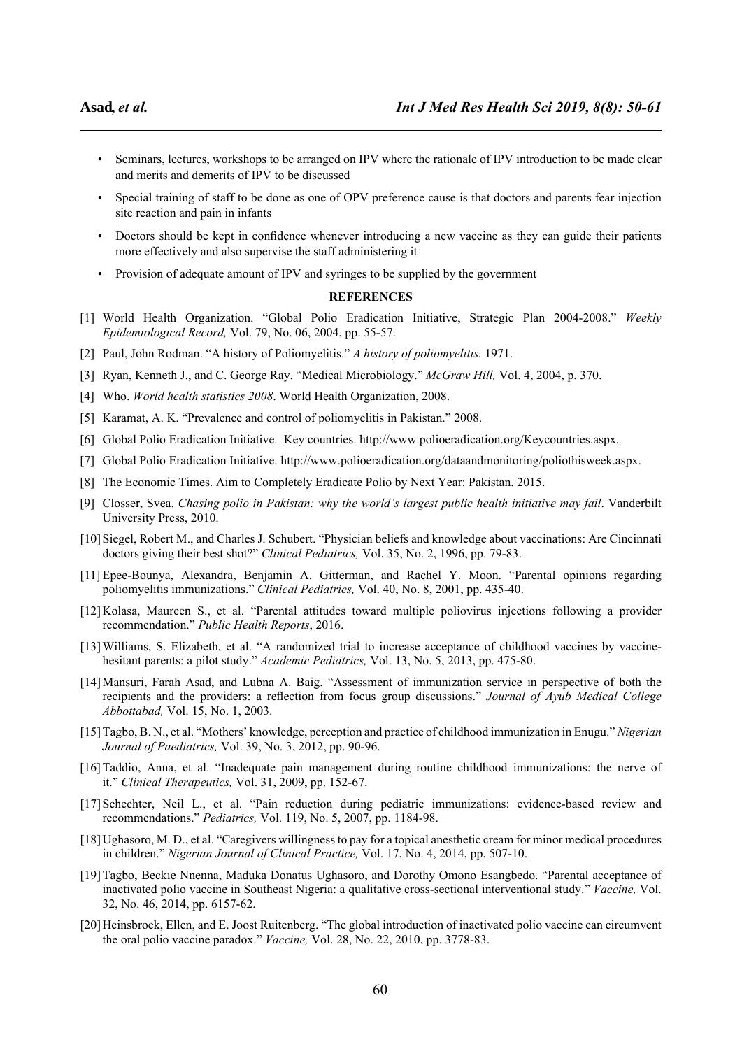- Seminars, lectures, workshops to be arranged on IPV where the rationale of IPV introduction to be made clear and merits and demerits of IPV to be discussed
- Special training of staff to be done as one of OPV preference cause is that doctors and parents fear injection site reaction and pain in infants
- Doctors should be kept in confidence whenever introducing a new vaccine as they can guide their patients more effectively and also supervise the staff administering it
- Provision of adequate amount of IPV and syringes to be supplied by the government

#### **REFERENCES**

- [1] World Health Organization. "Global Polio Eradication Initiative, Strategic Plan 2004-2008." *Weekly Epidemiological Record,* Vol. 79, No. 06, 2004, pp. 55-57.
- [2] Paul, John Rodman. "A history of Poliomyelitis." *A history of poliomyelitis.* 1971.
- [3] Ryan, Kenneth J., and C. George Ray. "Medical Microbiology." *McGraw Hill,* Vol. 4, 2004, p. 370.
- [4] Who. *World health statistics 2008*. World Health Organization, 2008.
- [5] Karamat, A. K. "Prevalence and control of poliomyelitis in Pakistan." 2008.
- [6] Global Polio Eradication Initiative. Key countries. http://www.polioeradication.org/Keycountries.aspx.
- [7] Global Polio Eradication Initiative. http://www.polioeradication.org/dataandmonitoring/poliothisweek.aspx.
- [8] The Economic Times. Aim to Completely Eradicate Polio by Next Year: Pakistan. 2015.
- [9] Closser, Svea. *Chasing polio in Pakistan: why the world's largest public health initiative may fail*. Vanderbilt University Press, 2010.
- [10]Siegel, Robert M., and Charles J. Schubert. "Physician beliefs and knowledge about vaccinations: Are Cincinnati doctors giving their best shot?" *Clinical Pediatrics,* Vol. 35, No. 2, 1996, pp. 79-83.
- [11] Epee-Bounya, Alexandra, Benjamin A. Gitterman, and Rachel Y. Moon. "Parental opinions regarding poliomyelitis immunizations." *Clinical Pediatrics,* Vol. 40, No. 8, 2001, pp. 435-40.
- [12]Kolasa, Maureen S., et al. "Parental attitudes toward multiple poliovirus injections following a provider recommendation." *Public Health Reports*, 2016.
- [13]Williams, S. Elizabeth, et al. "A randomized trial to increase acceptance of childhood vaccines by vaccinehesitant parents: a pilot study." *Academic Pediatrics,* Vol. 13, No. 5, 2013, pp. 475-80.
- [14]Mansuri, Farah Asad, and Lubna A. Baig. "Assessment of immunization service in perspective of both the recipients and the providers: a reflection from focus group discussions." *Journal of Ayub Medical College Abbottabad,* Vol. 15, No. 1, 2003.
- [15]Tagbo, B. N., et al. "Mothers' knowledge, perception and practice of childhood immunization in Enugu." *Nigerian Journal of Paediatrics,* Vol. 39, No. 3, 2012, pp. 90-96.
- [16]Taddio, Anna, et al. "Inadequate pain management during routine childhood immunizations: the nerve of it." *Clinical Therapeutics,* Vol. 31, 2009, pp. 152-67.
- [17]Schechter, Neil L., et al. "Pain reduction during pediatric immunizations: evidence-based review and recommendations." *Pediatrics,* Vol. 119, No. 5, 2007, pp. 1184-98.
- [18]Ughasoro, M. D., et al. "Caregivers willingness to pay for a topical anesthetic cream for minor medical procedures in children." *Nigerian Journal of Clinical Practice,* Vol. 17, No. 4, 2014, pp. 507-10.
- [19]Tagbo, Beckie Nnenna, Maduka Donatus Ughasoro, and Dorothy Omono Esangbedo. "Parental acceptance of inactivated polio vaccine in Southeast Nigeria: a qualitative cross-sectional interventional study." *Vaccine,* Vol. 32, No. 46, 2014, pp. 6157-62.
- [20] Heinsbroek, Ellen, and E. Joost Ruitenberg. "The global introduction of inactivated polio vaccine can circumvent the oral polio vaccine paradox." *Vaccine,* Vol. 28, No. 22, 2010, pp. 3778-83.